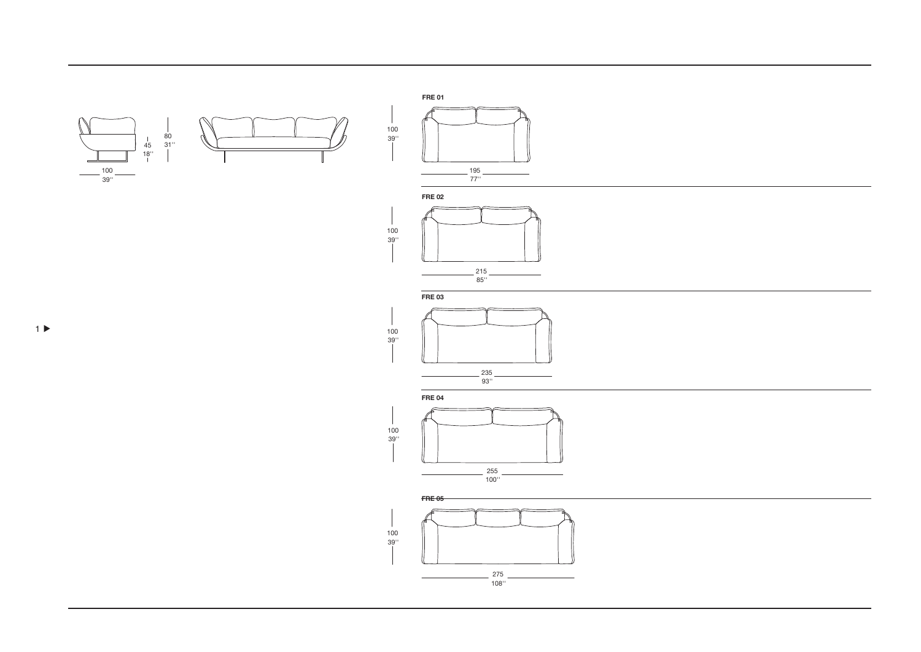





**FRE03** 

 $\mathcal{L}$ 

- 1



**FRE 04** 





 $1 \triangleright$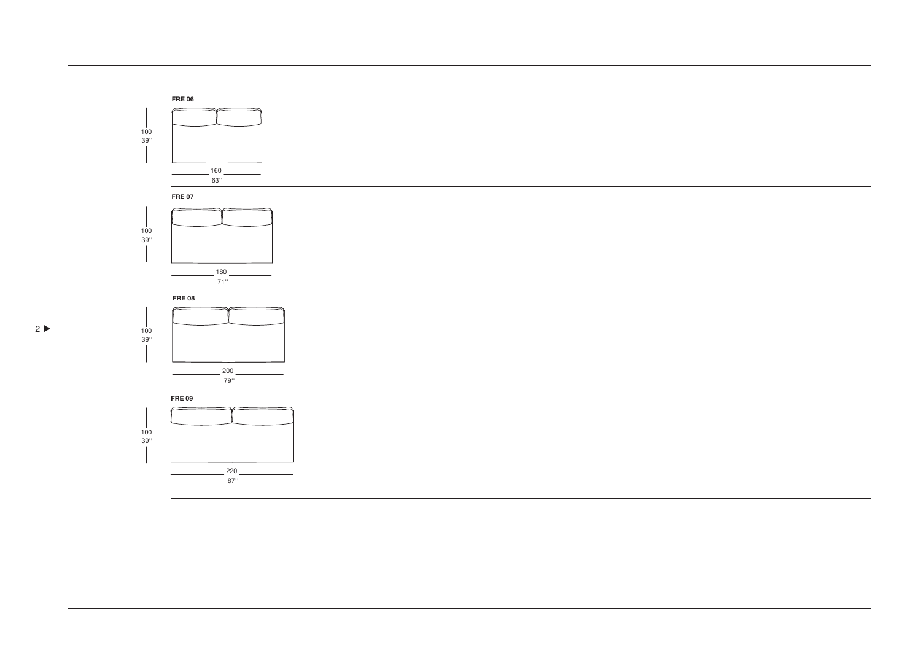

**FRE07** 



**FRE08** 



**FRE09** 

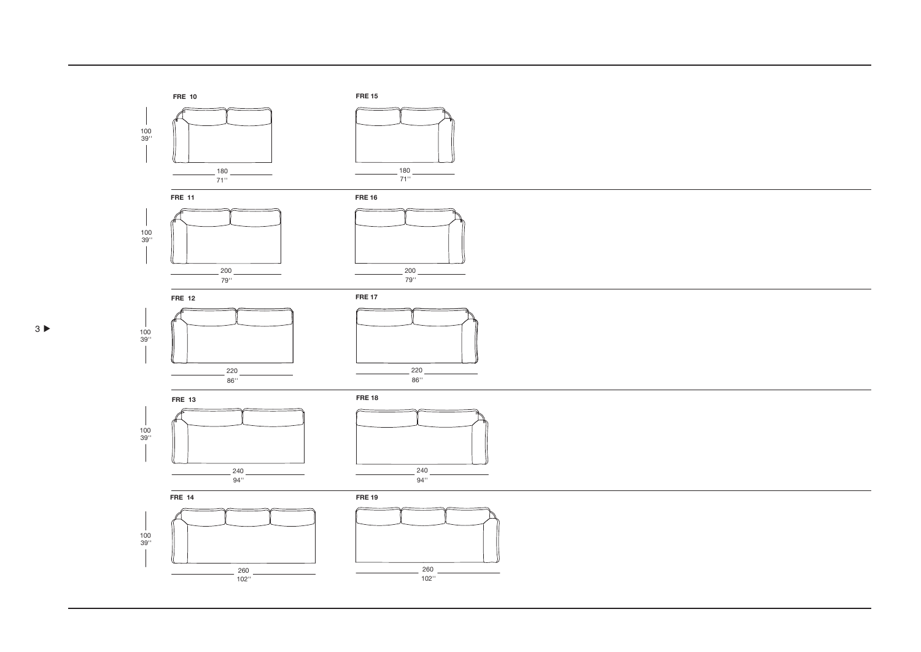

100 39''

100 39''



 $200$ 79''



79''







**FRE 14**





**FRE 19**







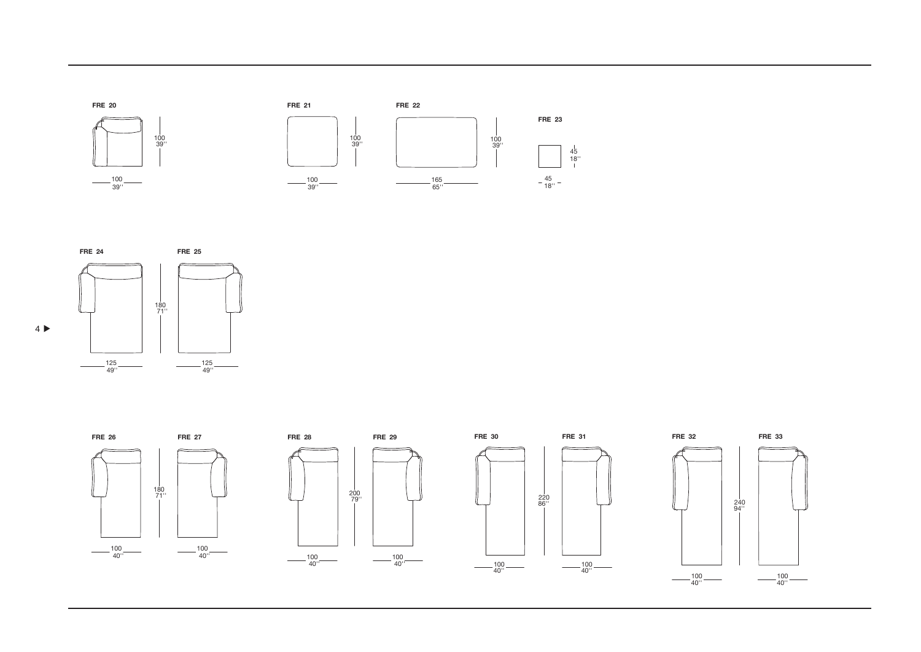





 $4 \blacktriangleright$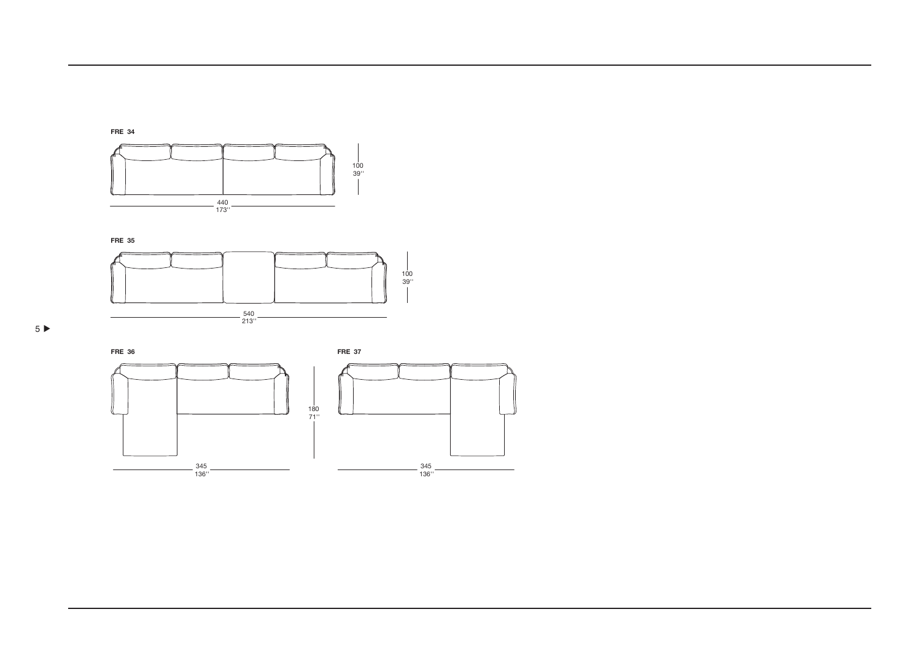

**FRE 35** 





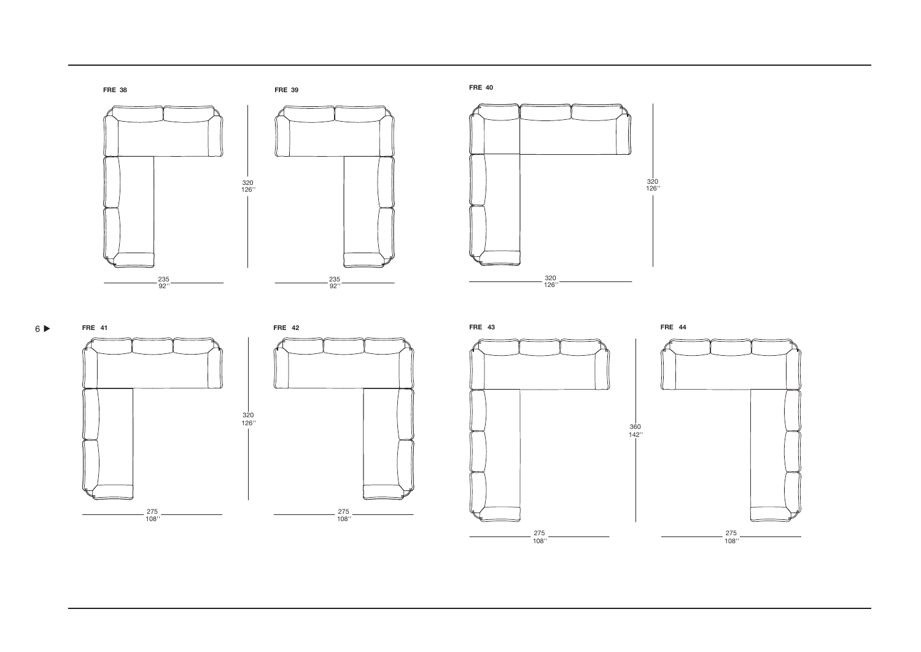









320<br>126''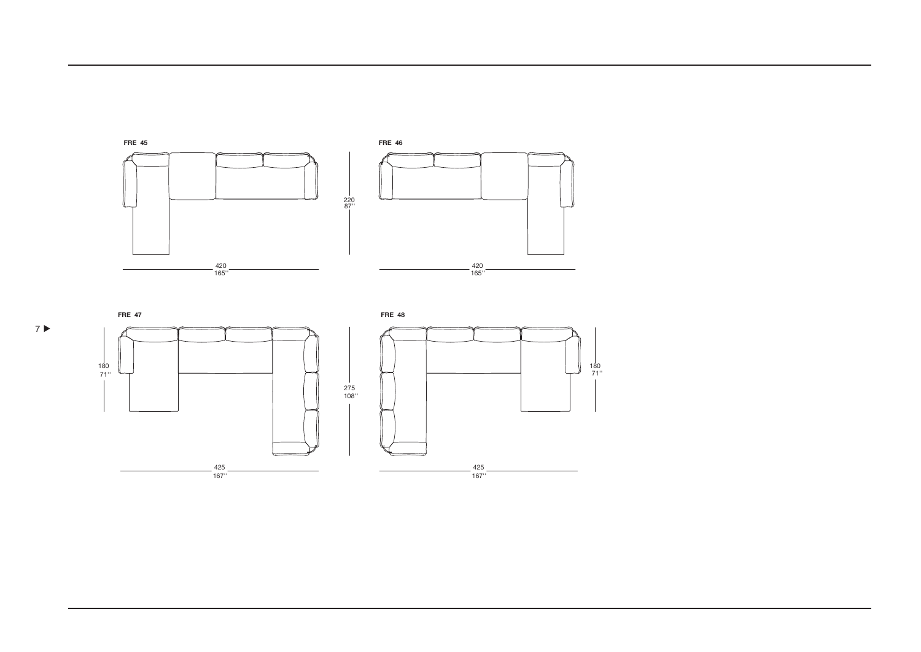